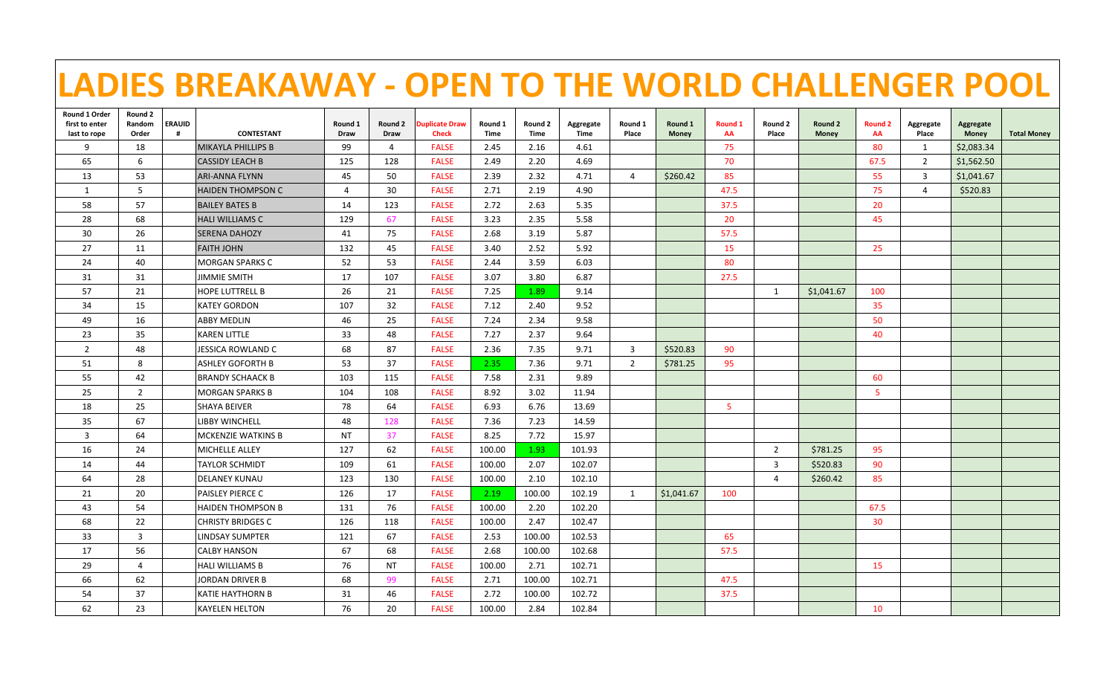|                                |                 |                    | <b>LADIES BREAKAWAY - OPEN TO THE WORLD CHALLENGER POOL</b> |                        |                 |                               |                 |                 |                          |                  |                  |               |                  |                  |                      |                    |                           |                    |
|--------------------------------|-----------------|--------------------|-------------------------------------------------------------|------------------------|-----------------|-------------------------------|-----------------|-----------------|--------------------------|------------------|------------------|---------------|------------------|------------------|----------------------|--------------------|---------------------------|--------------------|
| Round 1 Order                  | Round 2         |                    |                                                             |                        |                 |                               |                 |                 |                          |                  |                  |               |                  |                  |                      |                    |                           |                    |
| first to enter<br>last to rope | Random<br>Order | <b>ERAUID</b><br># | <b>CONTESTANT</b>                                           | Round 1<br><b>Draw</b> | Round 2<br>Draw | uplicate Draw<br><b>Check</b> | Round 1<br>Time | Round 2<br>Time | Aggregate<br><b>Time</b> | Round 1<br>Place | Round 1<br>Money | Round 1<br>AA | Round 2<br>Place | Round 2<br>Money | <b>Round 2</b><br>AA | Aggregate<br>Place | Aggregate<br><b>Money</b> | <b>Total Money</b> |
| 9                              | 18              |                    | <b>MIKAYLA PHILLIPS B</b>                                   | 99                     | 4               | <b>FALSE</b>                  | 2.45            | 2.16            | 4.61                     |                  |                  | 75            |                  |                  | 80                   | $\mathbf{1}$       | \$2,083.34                |                    |
| 65                             | 6               |                    | <b>CASSIDY LEACH B</b>                                      | 125                    | 128             | <b>FALSE</b>                  | 2.49            | 2.20            | 4.69                     |                  |                  | 70            |                  |                  | 67.5                 | $\overline{2}$     | \$1,562.50                |                    |
| 13                             | 53              |                    | ARI-ANNA FLYNN                                              | 45                     | 50              | <b>FALSE</b>                  | 2.39            | 2.32            | 4.71                     | $\overline{4}$   | \$260.42         | 85            |                  |                  | 55                   | 3                  | S <sub>1.041.67</sub>     |                    |
| 1                              | 5               |                    | <b>HAIDEN THOMPSON C</b>                                    | $\overline{4}$         | 30              | <b>FALSE</b>                  | 2.71            | 2.19            | 4.90                     |                  |                  | 47.5          |                  |                  | 75                   | $\overline{4}$     | \$520.83                  |                    |
| 58                             | 57              |                    | <b>BAILEY BATES B</b>                                       | 14                     | 123             | <b>FALSE</b>                  | 2.72            | 2.63            | 5.35                     |                  |                  | 37.5          |                  |                  | 20                   |                    |                           |                    |
| 28                             | 68              |                    | <b>HALI WILLIAMS C</b>                                      | 129                    | 67              | <b>FALSE</b>                  | 3.23            | 2.35            | 5.58                     |                  |                  | 20            |                  |                  | 45                   |                    |                           |                    |
| 30                             | 26              |                    | ISERENA DAHOZY                                              | 41                     | 75              | <b>FALSE</b>                  | 2.68            | 3.19            | 5.87                     |                  |                  | 57.5          |                  |                  |                      |                    |                           |                    |
| 27                             | 11              |                    | <b>FAITH JOHN</b>                                           | 132                    | 45              | <b>FALSE</b>                  | 3.40            | 2.52            | 5.92                     |                  |                  | 15            |                  |                  | 25                   |                    |                           |                    |
| 24                             | 40              |                    | <b>MORGAN SPARKS C</b>                                      | 52                     | 53              | <b>FALSE</b>                  | 2.44            | 3.59            | 6.03                     |                  |                  | 80            |                  |                  |                      |                    |                           |                    |
| 31                             | 31              |                    | <b>JIMMIE SMITH</b>                                         | 17                     | 107             | <b>FALSE</b>                  | 3.07            | 3.80            | 6.87                     |                  |                  | 27.5          |                  |                  |                      |                    |                           |                    |
| 57                             | 21              |                    | <b>HOPE LUTTRELL B</b>                                      | 26                     | 21              | <b>FALSE</b>                  | 7.25            | 1.89            | 9.14                     |                  |                  |               | 1                | \$1,041.67       | 100                  |                    |                           |                    |
| 34                             | 15              |                    | <b>KATEY GORDON</b>                                         | 107                    | 32              | <b>FALSE</b>                  | 7.12            | 2.40            | 9.52                     |                  |                  |               |                  |                  | 35                   |                    |                           |                    |
| 49                             | 16              |                    | <b>ABBY MEDLIN</b>                                          | 46                     | 25              | <b>FALSE</b>                  | 7.24            | 2.34            | 9.58                     |                  |                  |               |                  |                  | 50                   |                    |                           |                    |
| 23                             | 35              |                    | <b>KAREN LITTLE</b>                                         | 33                     | 48              | <b>FALSE</b>                  | 7.27            | 2.37            | 9.64                     |                  |                  |               |                  |                  | 40                   |                    |                           |                    |
| $\overline{2}$                 | 48              |                    | JESSICA ROWLAND C                                           | 68                     | 87              | <b>FALSE</b>                  | 2.36            | 7.35            | 9.71                     | $\overline{3}$   | \$520.83         | 90            |                  |                  |                      |                    |                           |                    |
| 51                             | 8               |                    | <b>ASHLEY GOFORTH B</b>                                     | 53                     | 37              | <b>FALSE</b>                  | 2.35            | 7.36            | 9.71                     | $\overline{2}$   | \$781.25         | 95            |                  |                  |                      |                    |                           |                    |
| 55                             | 42              |                    | <b>BRANDY SCHAACK B</b>                                     | 103                    | 115             | <b>FALSE</b>                  | 7.58            | 2.31            | 9.89                     |                  |                  |               |                  |                  | 60                   |                    |                           |                    |
| 25                             | $\overline{2}$  |                    | <b>MORGAN SPARKS B</b>                                      | 104                    | 108             | <b>FALSE</b>                  | 8.92            | 3.02            | 11.94                    |                  |                  |               |                  |                  | 5                    |                    |                           |                    |
| 18                             | 25              |                    | <b>SHAYA BEIVER</b>                                         | 78                     | 64              | <b>FALSE</b>                  | 6.93            | 6.76            | 13.69                    |                  |                  | -5            |                  |                  |                      |                    |                           |                    |
| 35                             | 67              |                    | LIBBY WINCHELL                                              | 48                     | 128             | <b>FALSE</b>                  | 7.36            | 7.23            | 14.59                    |                  |                  |               |                  |                  |                      |                    |                           |                    |
| $\overline{3}$                 | 64              |                    | <b>MCKENZIE WATKINS B</b>                                   | <b>NT</b>              | 37              | <b>FALSE</b>                  | 8.25            | 7.72            | 15.97                    |                  |                  |               |                  |                  |                      |                    |                           |                    |
| 16                             | 24              |                    | <b>MICHELLE ALLEY</b>                                       | 127                    | 62              | <b>FALSE</b>                  | 100.00          | 1.93            | 101.93                   |                  |                  |               | $\overline{2}$   | \$781.25         | 95                   |                    |                           |                    |
| 14                             | 44              |                    | <b>TAYLOR SCHMIDT</b>                                       | 109                    | 61              | <b>FALSE</b>                  | 100.00          | 2.07            | 102.07                   |                  |                  |               | $\overline{3}$   | \$520.83         | 90                   |                    |                           |                    |
| 64                             | 28              |                    | <b>DELANEY KUNAU</b>                                        | 123                    | 130             | <b>FALSE</b>                  | 100.00          | 2.10            | 102.10                   |                  |                  |               | 4                | \$260.42         | 85                   |                    |                           |                    |
| 21                             | 20              |                    | PAISLEY PIERCE C                                            | 126                    | 17              | <b>FALSE</b>                  | 2.19            | 100.00          | 102.19                   | 1                | \$1,041.67       | 100           |                  |                  |                      |                    |                           |                    |
| 43                             | 54              |                    | <b>HAIDEN THOMPSON B</b>                                    | 131                    | 76              | <b>FALSE</b>                  | 100.00          | 2.20            | 102.20                   |                  |                  |               |                  |                  | 67.5                 |                    |                           |                    |
| 68                             | 22              |                    | <b>CHRISTY BRIDGES C</b>                                    | 126                    | 118             | <b>FALSE</b>                  | 100.00          | 2.47            | 102.47                   |                  |                  |               |                  |                  | 30 <sup>°</sup>      |                    |                           |                    |
| 33                             | $\overline{3}$  |                    | LINDSAY SUMPTER                                             | 121                    | 67              | <b>FALSE</b>                  | 2.53            | 100.00          | 102.53                   |                  |                  | 65            |                  |                  |                      |                    |                           |                    |
| 17                             | 56              |                    | <b>CALBY HANSON</b>                                         | 67                     | 68              | <b>FALSE</b>                  | 2.68            | 100.00          | 102.68                   |                  |                  | 57.5          |                  |                  |                      |                    |                           |                    |
| 29                             | $\overline{4}$  |                    | <b>HALI WILLIAMS B</b>                                      | 76                     | <b>NT</b>       | <b>FALSE</b>                  | 100.00          | 2.71            | 102.71                   |                  |                  |               |                  |                  | 15                   |                    |                           |                    |
| 66                             | 62              |                    | JORDAN DRIVER B                                             | 68                     | -99             | <b>FALSE</b>                  | 2.71            | 100.00          | 102.71                   |                  |                  | 47.5          |                  |                  |                      |                    |                           |                    |
| 54                             | 37              |                    | KATIE HAYTHORN B                                            | 31                     | 46              | <b>FALSE</b>                  | 2.72            | 100.00          | 102.72                   |                  |                  | 37.5          |                  |                  |                      |                    |                           |                    |
| 62                             | 23              |                    | <b>KAYELEN HELTON</b>                                       | 76                     | 20              | <b>FALSE</b>                  | 100.00          | 2.84            | 102.84                   |                  |                  |               |                  |                  | 10                   |                    |                           |                    |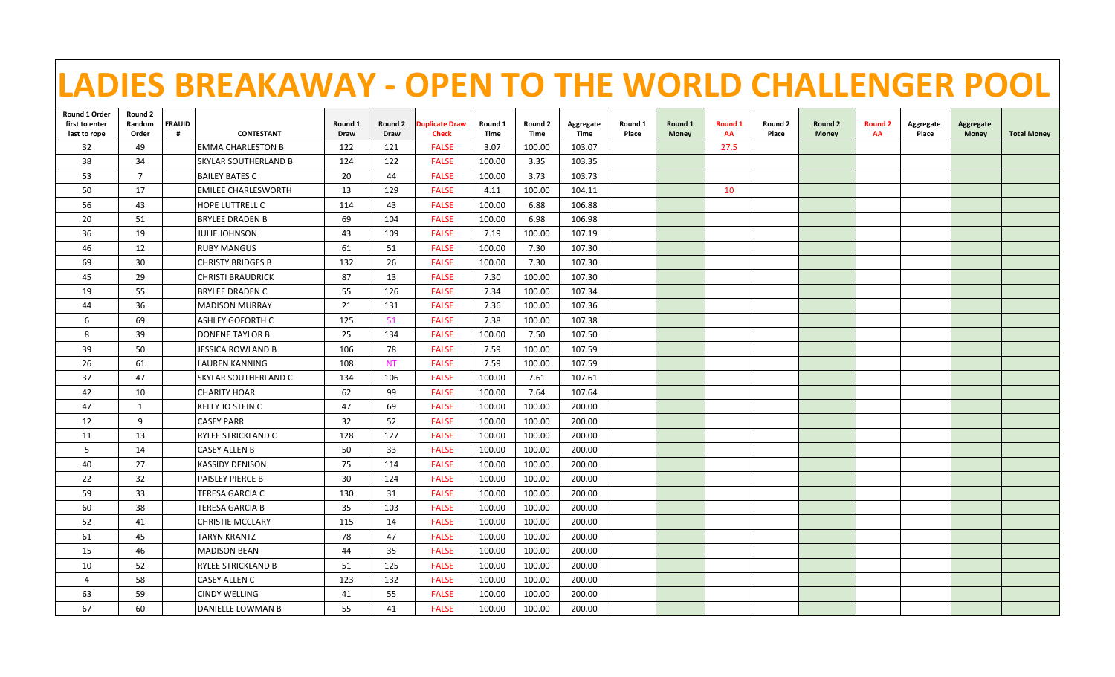| LADIES BREAKAWAY - OPEN TO THE WORLD CHALLENGER POOL |                            |               |                          |                 |                 |                                       |                        |                        |                   |                  |                  |               |                  |                  |                      |                    |                    |                    |
|------------------------------------------------------|----------------------------|---------------|--------------------------|-----------------|-----------------|---------------------------------------|------------------------|------------------------|-------------------|------------------|------------------|---------------|------------------|------------------|----------------------|--------------------|--------------------|--------------------|
| Round 1 Order<br>first to enter<br>last to rope      | Round 2<br>Random<br>Order | <b>ERAUID</b> | <b>CONTESTANT</b>        | Round 1<br>Draw | Round 2<br>Draw | <b>Duplicate Draw</b><br><b>Check</b> | Round 1<br><b>Time</b> | Round 2<br><b>Time</b> | Aggregate<br>Time | Round 1<br>Place | Round 1<br>Money | Round 1<br>AA | Round 2<br>Place | Round 2<br>Money | <b>Round 2</b><br>AA | Aggregate<br>Place | Aggregate<br>Money | <b>Total Money</b> |
| 32                                                   | 49                         |               | <b>EMMA CHARLESTON B</b> | 122             | 121             | <b>FALSE</b>                          | 3.07                   | 100.00                 | 103.07            |                  |                  | 27.5          |                  |                  |                      |                    |                    |                    |
| 38                                                   | 34                         |               | SKYLAR SOUTHERLAND B     | 124             | 122             | <b>FALSE</b>                          | 100.00                 | 3.35                   | 103.35            |                  |                  |               |                  |                  |                      |                    |                    |                    |
| 53                                                   | $\overline{7}$             |               | <b>BAILEY BATES C</b>    | 20              | 44              | <b>FALSE</b>                          | 100.00                 | 3.73                   | 103.73            |                  |                  |               |                  |                  |                      |                    |                    |                    |
| 50                                                   | 17                         |               | EMILEE CHARLESWORTH      | 13              | 129             | <b>FALSE</b>                          | 4.11                   | 100.00                 | 104.11            |                  |                  | 10            |                  |                  |                      |                    |                    |                    |
| 56                                                   | 43                         |               | HOPE LUTTRELL C          | 114             | 43              | <b>FALSE</b>                          | 100.00                 | 6.88                   | 106.88            |                  |                  |               |                  |                  |                      |                    |                    |                    |
| 20                                                   | 51                         |               | BRYLEE DRADEN B          | 69              | 104             | <b>FALSE</b>                          | 100.00                 | 6.98                   | 106.98            |                  |                  |               |                  |                  |                      |                    |                    |                    |
| 36                                                   | 19                         |               | JULIE JOHNSON            | 43              | 109             | <b>FALSE</b>                          | 7.19                   | 100.00                 | 107.19            |                  |                  |               |                  |                  |                      |                    |                    |                    |
| 46                                                   | 12                         |               | <b>RUBY MANGUS</b>       | 61              | 51              | <b>FALSE</b>                          | 100.00                 | 7.30                   | 107.30            |                  |                  |               |                  |                  |                      |                    |                    |                    |
| 69                                                   | 30                         |               | <b>CHRISTY BRIDGES B</b> | 132             | 26              | <b>FALSE</b>                          | 100.00                 | 7.30                   | 107.30            |                  |                  |               |                  |                  |                      |                    |                    |                    |
| 45                                                   | 29                         |               | CHRISTI BRAUDRICK        | 87              | 13              | <b>FALSE</b>                          | 7.30                   | 100.00                 | 107.30            |                  |                  |               |                  |                  |                      |                    |                    |                    |
| 19                                                   | 55                         |               | <b>BRYLEE DRADEN C</b>   | 55              | 126             | <b>FALSE</b>                          | 7.34                   | 100.00                 | 107.34            |                  |                  |               |                  |                  |                      |                    |                    |                    |
| 44                                                   | 36                         |               | <b>MADISON MURRAY</b>    | 21              | 131             | <b>FALSE</b>                          | 7.36                   | 100.00                 | 107.36            |                  |                  |               |                  |                  |                      |                    |                    |                    |
| 6                                                    | 69                         |               | ASHLEY GOFORTH C         | 125             | 51              | <b>FALSE</b>                          | 7.38                   | 100.00                 | 107.38            |                  |                  |               |                  |                  |                      |                    |                    |                    |
| 8                                                    | 39                         |               | <b>DONENE TAYLOR B</b>   | 25              | 134             | <b>FALSE</b>                          | 100.00                 | 7.50                   | 107.50            |                  |                  |               |                  |                  |                      |                    |                    |                    |
| 39                                                   | 50                         |               | JESSICA ROWLAND B        | 106             | 78              | <b>FALSE</b>                          | 7.59                   | 100.00                 | 107.59            |                  |                  |               |                  |                  |                      |                    |                    |                    |
| 26                                                   | 61                         |               | <b>LAUREN KANNING</b>    | 108             | <b>NT</b>       | <b>FALSE</b>                          | 7.59                   | 100.00                 | 107.59            |                  |                  |               |                  |                  |                      |                    |                    |                    |
| 37                                                   | 47                         |               | SKYLAR SOUTHERLAND C     | 134             | 106             | <b>FALSE</b>                          | 100.00                 | 7.61                   | 107.61            |                  |                  |               |                  |                  |                      |                    |                    |                    |
| 42                                                   | 10                         |               | <b>CHARITY HOAR</b>      | 62              | 99              | <b>FALSE</b>                          | 100.00                 | 7.64                   | 107.64            |                  |                  |               |                  |                  |                      |                    |                    |                    |
| 47                                                   | 1                          |               | KELLY JO STEIN C         | 47              | 69              | <b>FALSE</b>                          | 100.00                 | 100.00                 | 200.00            |                  |                  |               |                  |                  |                      |                    |                    |                    |
| 12                                                   | 9                          |               | <b>CASEY PARR</b>        | 32              | 52              | <b>FALSE</b>                          | 100.00                 | 100.00                 | 200.00            |                  |                  |               |                  |                  |                      |                    |                    |                    |
| 11                                                   | 13                         |               | RYLEE STRICKLAND C       | 128             | 127             | <b>FALSE</b>                          | 100.00                 | 100.00                 | 200.00            |                  |                  |               |                  |                  |                      |                    |                    |                    |
| 5                                                    | 14                         |               | <b>CASEY ALLEN B</b>     | 50              | 33              | <b>FALSE</b>                          | 100.00                 | 100.00                 | 200.00            |                  |                  |               |                  |                  |                      |                    |                    |                    |
| 40                                                   | 27                         |               | KASSIDY DENISON          | 75              | 114             | <b>FALSE</b>                          | 100.00                 | 100.00                 | 200.00            |                  |                  |               |                  |                  |                      |                    |                    |                    |
| 22                                                   | 32                         |               | PAISLEY PIERCE B         | 30              | 124             | <b>FALSE</b>                          | 100.00                 | 100.00                 | 200.00            |                  |                  |               |                  |                  |                      |                    |                    |                    |
| 59                                                   | 33                         |               | TERESA GARCIA C          | 130             | 31              | <b>FALSE</b>                          | 100.00                 | 100.00                 | 200.00            |                  |                  |               |                  |                  |                      |                    |                    |                    |
| 60                                                   | 38                         |               | TERESA GARCIA B          | 35              | 103             | <b>FALSE</b>                          | 100.00                 | 100.00                 | 200.00            |                  |                  |               |                  |                  |                      |                    |                    |                    |
| 52                                                   | 41                         |               | CHRISTIE MCCLARY         | 115             | 14              | <b>FALSE</b>                          | 100.00                 | 100.00                 | 200.00            |                  |                  |               |                  |                  |                      |                    |                    |                    |
| 61                                                   | 45                         |               | TARYN KRANTZ             | 78              | 47              | <b>FALSE</b>                          | 100.00                 | 100.00                 | 200.00            |                  |                  |               |                  |                  |                      |                    |                    |                    |
| 15                                                   | 46                         |               | <b>MADISON BEAN</b>      | 44              | 35              | <b>FALSE</b>                          | 100.00                 | 100.00                 | 200.00            |                  |                  |               |                  |                  |                      |                    |                    |                    |
| 10                                                   | 52                         |               | RYLEE STRICKLAND B       | 51              | 125             | <b>FALSE</b>                          | 100.00                 | 100.00                 | 200.00            |                  |                  |               |                  |                  |                      |                    |                    |                    |
| 4                                                    | 58                         |               | CASEY ALLEN C            | 123             | 132             | <b>FALSE</b>                          | 100.00                 | 100.00                 | 200.00            |                  |                  |               |                  |                  |                      |                    |                    |                    |
| 63                                                   | 59                         |               | CINDY WELLING            | 41              | 55              | <b>FALSE</b>                          | 100.00                 | 100.00                 | 200.00            |                  |                  |               |                  |                  |                      |                    |                    |                    |
| 67                                                   | 60                         |               | DANIELLE LOWMAN B        | 55              | 41              | <b>FALSE</b>                          | 100.00                 | 100.00                 | 200.00            |                  |                  |               |                  |                  |                      |                    |                    |                    |